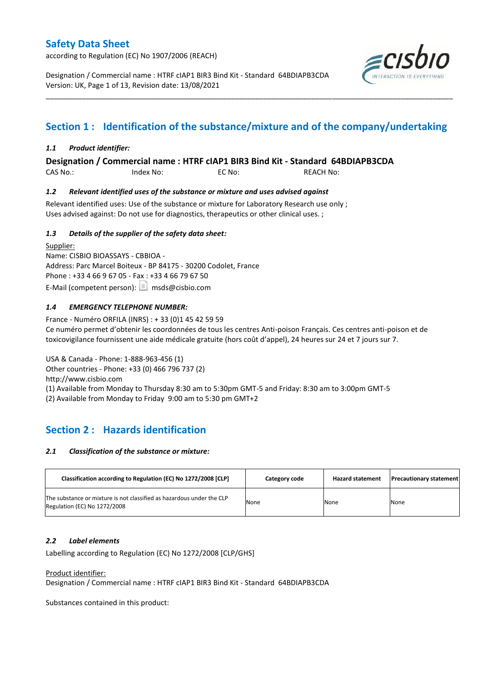according to Regulation (EC) No 1907/2006 (REACH)

Designation / Commercial name : HTRF cIAP1 BIR3 Bind Kit - Standard 64BDIAPB3CDA Version: UK, Page 1 of 13, Revision date: 13/08/2021



## **Section 1 : Identification of the substance/mixture and of the company/undertaking**

\_\_\_\_\_\_\_\_\_\_\_\_\_\_\_\_\_\_\_\_\_\_\_\_\_\_\_\_\_\_\_\_\_\_\_\_\_\_\_\_\_\_\_\_\_\_\_\_\_\_\_\_\_\_\_\_\_\_\_\_\_\_\_\_\_\_\_\_\_\_\_\_\_\_\_\_\_\_\_\_\_\_\_\_\_\_\_\_\_\_\_\_\_\_\_\_\_\_\_\_\_

#### *1.1 Product identifier:*

**Designation / Commercial name : HTRF cIAP1 BIR3 Bind Kit - Standard 64BDIAPB3CDA** 

CAS No.: Index No: EC No: REACH No:

#### *1.2 Relevant identified uses of the substance or mixture and uses advised against*

Relevant identified uses: Use of the substance or mixture for Laboratory Research use only ; Uses advised against: Do not use for diagnostics, therapeutics or other clinical uses. ;

#### *1.3 Details of the supplier of the safety data sheet:*

Supplier: Name: CISBIO BIOASSAYS - CBBIOA - Address: Parc Marcel Boiteux - BP 84175 - 30200 Codolet, France Phone : +33 4 66 9 67 05 - Fax : +33 4 66 79 67 50 E-Mail (competent person):  $\boxed{\equiv}$  msds@cisbio.com

#### *1.4 EMERGENCY TELEPHONE NUMBER:*

France - Numéro ORFILA (INRS) : + 33 (0)1 45 42 59 59 Ce numéro permet d'obtenir les coordonnées de tous les centres Anti-poison Français. Ces centres anti-poison et de toxicovigilance fournissent une aide médicale gratuite (hors coût d'appel), 24 heures sur 24 et 7 jours sur 7.

USA & Canada - Phone: 1-888-963-456 (1) Other countries - Phone: +33 (0) 466 796 737 (2) http://www.cisbio.com (1) Available from Monday to Thursday 8:30 am to 5:30pm GMT-5 and Friday: 8:30 am to 3:00pm GMT-5 (2) Available from Monday to Friday 9:00 am to 5:30 pm GMT+2

## **Section 2 : Hazards identification**

#### *2.1 Classification of the substance or mixture:*

| Classification according to Regulation (EC) No 1272/2008 [CLP]                                        | Category code | <b>Hazard statement</b> | <b>Precautionary statement</b> |
|-------------------------------------------------------------------------------------------------------|---------------|-------------------------|--------------------------------|
| The substance or mixture is not classified as hazardous under the CLP<br>Regulation (EC) No 1272/2008 | None          | None                    | None                           |

#### *2.2 Label elements*

Labelling according to Regulation (EC) No 1272/2008 [CLP/GHS]

#### Product identifier:

Designation / Commercial name : HTRF cIAP1 BIR3 Bind Kit - Standard 64BDIAPB3CDA

Substances contained in this product: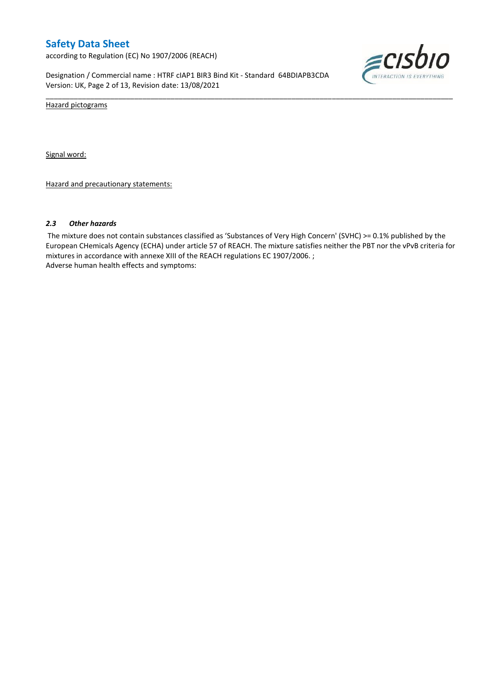according to Regulation (EC) No 1907/2006 (REACH)

Designation / Commercial name : HTRF cIAP1 BIR3 Bind Kit - Standard 64BDIAPB3CDA Version: UK, Page 2 of 13, Revision date: 13/08/2021



Hazard pictograms

Signal word:

Hazard and precautionary statements:

#### *2.3 Other hazards*

The mixture does not contain substances classified as 'Substances of Very High Concern' (SVHC) >= 0.1% published by the European CHemicals Agency (ECHA) under article 57 of REACH. The mixture satisfies neither the PBT nor the vPvB criteria for mixtures in accordance with annexe XIII of the REACH regulations EC 1907/2006. ; Adverse human health effects and symptoms:

\_\_\_\_\_\_\_\_\_\_\_\_\_\_\_\_\_\_\_\_\_\_\_\_\_\_\_\_\_\_\_\_\_\_\_\_\_\_\_\_\_\_\_\_\_\_\_\_\_\_\_\_\_\_\_\_\_\_\_\_\_\_\_\_\_\_\_\_\_\_\_\_\_\_\_\_\_\_\_\_\_\_\_\_\_\_\_\_\_\_\_\_\_\_\_\_\_\_\_\_\_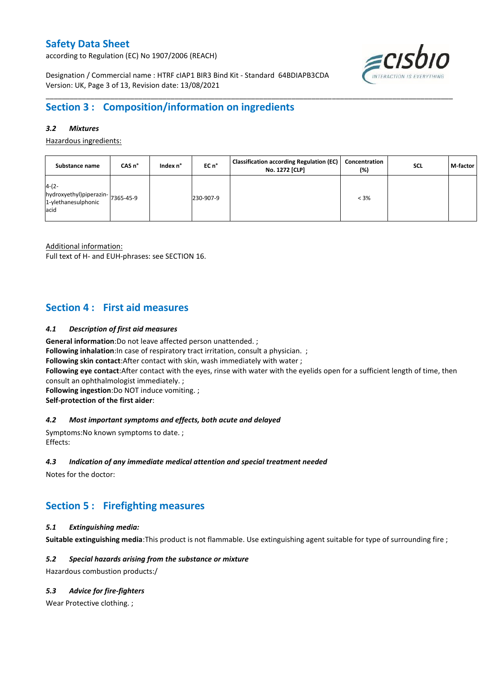according to Regulation (EC) No 1907/2006 (REACH)



Designation / Commercial name : HTRF cIAP1 BIR3 Bind Kit - Standard 64BDIAPB3CDA Version: UK, Page 3 of 13, Revision date: 13/08/2021

## **Section 3 : Composition/information on ingredients**

#### *3.2 Mixtures*

Hazardous ingredients:

| Substance name                                                             | CAS n° | Index n° | EC n°     | <b>Classification according Regulation (EC)</b><br>No. 1272 [CLP] | Concentration<br>(%) | <b>SCL</b> | M-factor |
|----------------------------------------------------------------------------|--------|----------|-----------|-------------------------------------------------------------------|----------------------|------------|----------|
| $4-(2-$<br>hydroxyethyl)piperazin-7365-45-9<br>1-ylethanesulphonic<br>acid |        |          | 230-907-9 |                                                                   | $< 3\%$              |            |          |

\_\_\_\_\_\_\_\_\_\_\_\_\_\_\_\_\_\_\_\_\_\_\_\_\_\_\_\_\_\_\_\_\_\_\_\_\_\_\_\_\_\_\_\_\_\_\_\_\_\_\_\_\_\_\_\_\_\_\_\_\_\_\_\_\_\_\_\_\_\_\_\_\_\_\_\_\_\_\_\_\_\_\_\_\_\_\_\_\_\_\_\_\_\_\_\_\_\_\_\_\_

Additional information:

Full text of H- and EUH-phrases: see SECTION 16.

### **Section 4 : First aid measures**

#### *4.1 Description of first aid measures*

**General information**:Do not leave affected person unattended. ;

**Following inhalation:**In case of respiratory tract irritation, consult a physician. ;

**Following skin contact**:After contact with skin, wash immediately with water ;

**Following eye contact**:After contact with the eyes, rinse with water with the eyelids open for a sufficient length of time, then consult an ophthalmologist immediately. ;

**Following ingestion**:Do NOT induce vomiting. ;

**Self-protection of the first aider**:

#### *4.2 Most important symptoms and effects, both acute and delayed*

Symptoms:No known symptoms to date. ; Effects:

#### *4.3 Indication of any immediate medical attention and special treatment needed*

Notes for the doctor:

## **Section 5 : Firefighting measures**

#### *5.1 Extinguishing media:*

**Suitable extinguishing media**:This product is not flammable. Use extinguishing agent suitable for type of surrounding fire ;

#### *5.2 Special hazards arising from the substance or mixture*

Hazardous combustion products:/

#### *5.3 Advice for fire-fighters*

Wear Protective clothing.;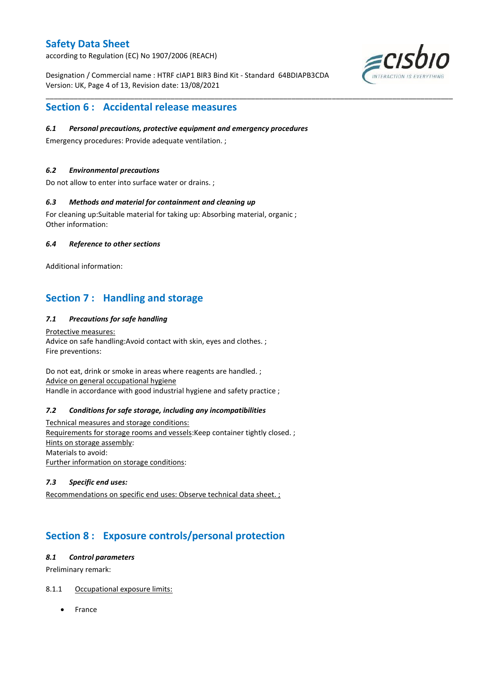according to Regulation (EC) No 1907/2006 (REACH)

Designation / Commercial name : HTRF cIAP1 BIR3 Bind Kit - Standard 64BDIAPB3CDA Version: UK, Page 4 of 13, Revision date: 13/08/2021

\_\_\_\_\_\_\_\_\_\_\_\_\_\_\_\_\_\_\_\_\_\_\_\_\_\_\_\_\_\_\_\_\_\_\_\_\_\_\_\_\_\_\_\_\_\_\_\_\_\_\_\_\_\_\_\_\_\_\_\_\_\_\_\_\_\_\_\_\_\_\_\_\_\_\_\_\_\_\_\_\_\_\_\_\_\_\_\_\_\_\_\_\_\_\_\_\_\_\_\_\_



### **Section 6 : Accidental release measures**

#### *6.1 Personal precautions, protective equipment and emergency procedures*

Emergency procedures: Provide adequate ventilation. ;

#### *6.2 Environmental precautions*

Do not allow to enter into surface water or drains. ;

#### *6.3 Methods and material for containment and cleaning up*

For cleaning up:Suitable material for taking up: Absorbing material, organic ; Other information:

#### *6.4 Reference to other sections*

Additional information:

## **Section 7 : Handling and storage**

#### *7.1 Precautions for safe handling*

Protective measures: Advice on safe handling:Avoid contact with skin, eyes and clothes. ; Fire preventions:

Do not eat, drink or smoke in areas where reagents are handled. ; Advice on general occupational hygiene Handle in accordance with good industrial hygiene and safety practice ;

#### *7.2 Conditions for safe storage, including any incompatibilities*

Technical measures and storage conditions: Requirements for storage rooms and vessels:Keep container tightly closed. ; Hints on storage assembly: Materials to avoid: Further information on storage conditions:

#### *7.3 Specific end uses:*

Recommendations on specific end uses: Observe technical data sheet. ;

## **Section 8 : Exposure controls/personal protection**

#### *8.1 Control parameters*

Preliminary remark:

#### 8.1.1 Occupational exposure limits:

France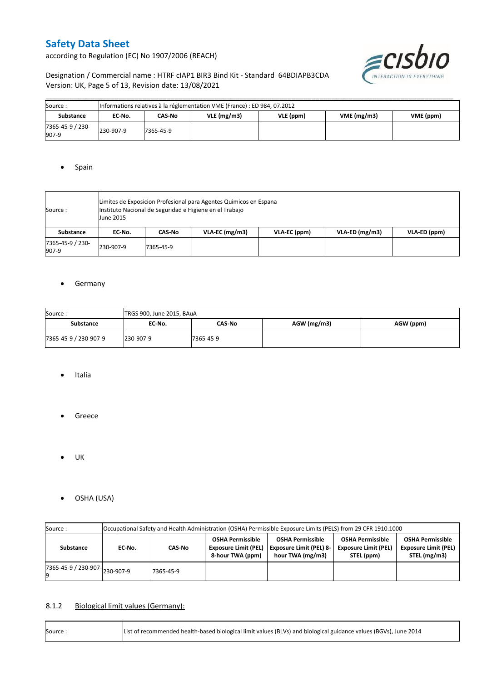according to Regulation (EC) No 1907/2006 (REACH)



#### Designation / Commercial name : HTRF cIAP1 BIR3 Bind Kit - Standard 64BDIAPB3CDA Version: UK, Page 5 of 13, Revision date: 13/08/2021

| Source:                   | Informations relatives à la réglementation VME (France) : ED 984, 07.2012 |           |            |           |                         |  |  |  |  |  |  |
|---------------------------|---------------------------------------------------------------------------|-----------|------------|-----------|-------------------------|--|--|--|--|--|--|
| Substance                 | EC No.                                                                    | CAS-No    | VLE(mg/m3) | VLE (ppm) | VME(mg/m3)<br>VME (ppm) |  |  |  |  |  |  |
| 7365-45-9 / 230-<br>907-9 | 230-907-9                                                                 | 7365-45-9 |            |           |                         |  |  |  |  |  |  |

#### • Spain

| Source :                  | Limites de Exposicion Profesional para Agentes Quimicos en Espana<br>Instituto Nacional de Seguridad e Higiene en el Trabajo<br><b>June 2015</b> |           |                  |              |                   |              |  |  |  |  |
|---------------------------|--------------------------------------------------------------------------------------------------------------------------------------------------|-----------|------------------|--------------|-------------------|--------------|--|--|--|--|
| Substance                 | EC No.                                                                                                                                           | CAS-No    | $VLA-EC$ (mg/m3) | VLA-EC (ppm) | $VLA$ -ED (mg/m3) | VLA-ED (ppm) |  |  |  |  |
| 7365-45-9 / 230-<br>907-9 | 230-907-9                                                                                                                                        | 7365-45-9 |                  |              |                   |              |  |  |  |  |

#### **•** Germany

| Source:               | TRGS 900, June 2015, BAuA |           |             |           |  |  |  |  |  |  |
|-----------------------|---------------------------|-----------|-------------|-----------|--|--|--|--|--|--|
| Substance             | EC No.                    | CAS-No    | AGW (mg/m3) | AGW (ppm) |  |  |  |  |  |  |
| 7365-45-9 / 230-907-9 | 230-907-9                 | 7365-45-9 |             |           |  |  |  |  |  |  |

- Italia
- **•** Greece
- $\bullet$  UK
- OSHA (USA)

| Source:                                  | Occupational Safety and Health Administration (OSHA) Permissible Exposure Limits (PELS) from 29 CFR 1910.1000 |                                       |  |                                                                               |                                                                      |                                                                        |  |  |  |  |
|------------------------------------------|---------------------------------------------------------------------------------------------------------------|---------------------------------------|--|-------------------------------------------------------------------------------|----------------------------------------------------------------------|------------------------------------------------------------------------|--|--|--|--|
| Substance                                | EC No.                                                                                                        | <b>Exposure Limit (PEL)</b><br>CAS-No |  | <b>OSHA Permissible</b><br><b>Exposure Limit (PEL) 8-</b><br>hour TWA (mg/m3) | <b>OSHA Permissible</b><br><b>Exposure Limit (PEL)</b><br>STEL (ppm) | <b>OSHA Permissible</b><br><b>Exposure Limit (PEL)</b><br>STEL (mg/m3) |  |  |  |  |
| $17365 - 45 - 9$ / 230-907-<br>230-907-9 |                                                                                                               | 7365-45-9                             |  |                                                                               |                                                                      |                                                                        |  |  |  |  |

#### 8.1.2 Biological limit values (Germany):

| Source: | List of recommended health-based biological limit values (BLVs) and biological guidance values (BGVs), June 2014 |
|---------|------------------------------------------------------------------------------------------------------------------|
|---------|------------------------------------------------------------------------------------------------------------------|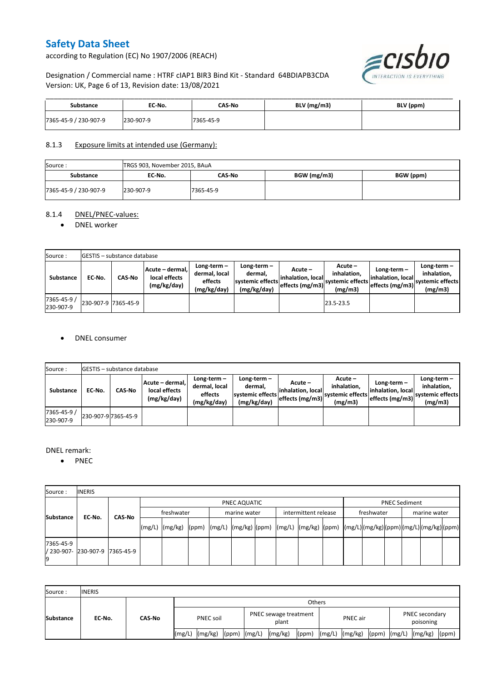according to Regulation (EC) No 1907/2006 (REACH)



#### Designation / Commercial name : HTRF cIAP1 BIR3 Bind Kit - Standard 64BDIAPB3CDA Version: UK, Page 6 of 13, Revision date: 13/08/2021

| <b>Substance</b>      | EC No.    | CAS-No    | $BLV$ (mg/m3) | BLV (ppm) |
|-----------------------|-----------|-----------|---------------|-----------|
| 7365-45-9 / 230-907-9 | 230-907-9 | 7365-45-9 |               |           |

#### 8.1.3 Exposure limits at intended use (Germany):

| Source:               | TRGS 903, November 2015, BAuA |           |             |           |  |  |  |  |  |  |
|-----------------------|-------------------------------|-----------|-------------|-----------|--|--|--|--|--|--|
| <b>Substance</b>      | EC No.                        | CAS-No    | BGW (mg/m3) | BGW (ppm) |  |  |  |  |  |  |
| 7365-45-9 / 230-907-9 | 230-907-9                     | 7365-45-9 |             |           |  |  |  |  |  |  |

#### 8.1.4 DNEL/PNEC-values:

#### • DNEL worker

| Source:                  |                     | <b>IGESTIS - substance database</b> |                                                                                                          |  |                                                             |                                                  |                                                         |                                                        |                                                          |  |  |  |  |  |
|--------------------------|---------------------|-------------------------------------|----------------------------------------------------------------------------------------------------------|--|-------------------------------------------------------------|--------------------------------------------------|---------------------------------------------------------|--------------------------------------------------------|----------------------------------------------------------|--|--|--|--|--|
| Substance                | EC-No.              | <b>CAS-No</b>                       | Long-term-<br>Acute - dermal,<br>dermal, local<br>local effects<br>effects<br>(mg/kg/day)<br>(mg/kg/day) |  | Long-term $-$<br>dermal,<br>systemic effects<br>(mg/kg/day) | Acute –<br>linhalation. local<br>effects (mg/m3) | $Acute -$<br>inhalation.<br>systemic effects<br>(mg/m3) | $Long-term -$<br>linhalation. local<br>effects (mg/m3) | Long-term-<br>inhalation.<br>systemic effects<br>(mg/m3) |  |  |  |  |  |
| 7365-45-9 /<br>230-907-9 | 230-907-9 7365-45-9 |                                     |                                                                                                          |  |                                                             |                                                  | 23.5-23.5                                               |                                                        |                                                          |  |  |  |  |  |

#### DNEL consumer

| Source:                  |                     | <b>IGESTIS - substance database</b> |                                                 |                                                          |                                                          |                               |                                                                                                          |                                                     |                                                          |  |  |  |  |
|--------------------------|---------------------|-------------------------------------|-------------------------------------------------|----------------------------------------------------------|----------------------------------------------------------|-------------------------------|----------------------------------------------------------------------------------------------------------|-----------------------------------------------------|----------------------------------------------------------|--|--|--|--|
| Substance                | EC-No.              | <b>CAS-No</b>                       | Acute - dermal,<br>local effects<br>(mg/kg/day) | Long-term $-$<br>dermal, local<br>effects<br>(mg/kg/day) | Long-term-<br>dermal,<br>systemic effects<br>(mg/kg/day) | Acute –<br>linhalation. local | Acute –<br>inhalation.<br>---> effects (mg/m3)  <sup>systemic effects</sup>   <sub>-</sub> --<br>(mg/m3) | Long-term –<br>inhalation. local<br>effects (mg/m3) | Long-term-<br>inhalation.<br>systemic effects<br>(mg/m3) |  |  |  |  |
| 7365-45-9 /<br>230-907-9 | 230-907-9 7365-45-9 |                                     |                                                 |                                                          |                                                          |                               |                                                                                                          |                                                     |                                                          |  |  |  |  |

#### DNEL remark:

• PNEC

| Source:         | <b>INERIS</b>                  |        |              |  |  |              |  |                      |  |            |  |                      |  |  |  |  |
|-----------------|--------------------------------|--------|--------------|--|--|--------------|--|----------------------|--|------------|--|----------------------|--|--|--|--|
|                 |                                | CAS-No | PNEC AQUATIC |  |  |              |  |                      |  |            |  | <b>PNEC Sediment</b> |  |  |  |  |
| Substance       | EC No.                         |        | freshwater   |  |  | marine water |  | intermittent release |  | freshwater |  | marine water         |  |  |  |  |
|                 |                                |        |              |  |  |              |  |                      |  |            |  |                      |  |  |  |  |
| 7365-45-9<br>19 | / 230-907- 230-907-9 7365-45-9 |        |              |  |  |              |  |                      |  |            |  |                      |  |  |  |  |

| Source:          | <b>INERIS</b> |        |                  |                    |                  |                                |         |       |                 |                    |  |                             |                          |       |
|------------------|---------------|--------|------------------|--------------------|------------------|--------------------------------|---------|-------|-----------------|--------------------|--|-----------------------------|--------------------------|-------|
| <b>Substance</b> | EC No.        | CAS-No | Others           |                    |                  |                                |         |       |                 |                    |  |                             |                          |       |
|                  |               |        | <b>PNEC soil</b> |                    |                  | PNEC sewage treatment<br>plant |         |       | <b>PNEC</b> air |                    |  | PNEC secondary<br>poisoning |                          |       |
|                  |               |        |                  | $(mg/L)$ $(mg/kg)$ | $(ppm)$ $(mg/L)$ |                                | (mg/kg) | (ppm) |                 | $(mg/L)$ $(mg/kg)$ |  |                             | (ppm) $(mg/L)$ $(mg/kg)$ | (ppm) |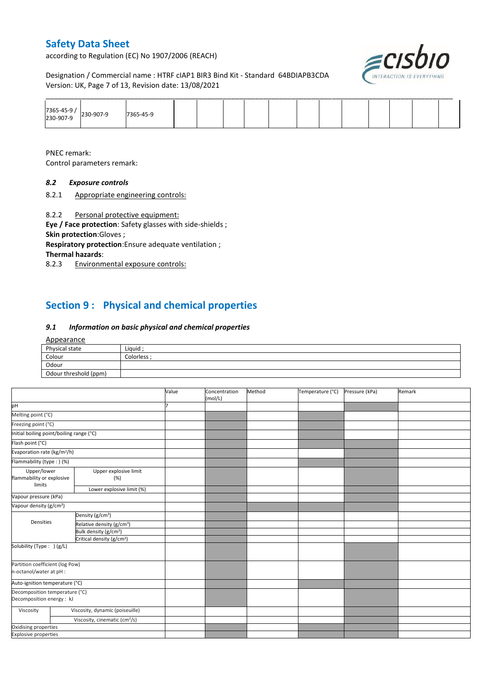according to Regulation (EC) No 1907/2006 (REACH)

≡cısbıo

Designation / Commercial name : HTRF cIAP1 BIR3 Bind Kit - Standard 64BDIAPB3CDA Version: UK, Page 7 of 13, Revision date: 13/08/2021

|                       |           |  |  |  | ______ |  |  |  |
|-----------------------|-----------|--|--|--|--------|--|--|--|
| 7365-45-9 / 230-907-9 | 7365-45-9 |  |  |  |        |  |  |  |

PNEC remark:

Control parameters remark:

#### *8.2 Exposure controls*

8.2.1 Appropriate engineering controls:

8.2.2 Personal protective equipment:

**Eye / Face protection**: Safety glasses with side-shields ; **Skin protection**:Gloves ;

**Respiratory protection**:Ensure adequate ventilation ; **Thermal hazards**:

8.2.3 Environmental exposure controls:

## **Section 9 : Physical and chemical properties**

#### *9.1 Information on basic physical and chemical properties*

#### Appearance

| Physical state        | Liquid    |
|-----------------------|-----------|
| Colour                | Colorless |
| Odour                 |           |
| Odour threshold (ppm) |           |

|                                                             |                                           | Value | Concentration<br>(mol/L) | Method | Temperature (°C) | Pressure (kPa) | Remark |
|-------------------------------------------------------------|-------------------------------------------|-------|--------------------------|--------|------------------|----------------|--------|
| pH                                                          |                                           |       |                          |        |                  |                |        |
| Melting point (°C)                                          |                                           |       |                          |        |                  |                |        |
| Freezing point (°C)                                         |                                           |       |                          |        |                  |                |        |
| Initial boiling point/boiling range (°C)                    |                                           |       |                          |        |                  |                |        |
| Flash point (°C)                                            |                                           |       |                          |        |                  |                |        |
| Evaporation rate (kg/m <sup>2</sup> /h)                     |                                           |       |                          |        |                  |                |        |
| Flammability (type : ) (%)                                  |                                           |       |                          |        |                  |                |        |
| Upper/lower<br>flammability or explosive<br>limits          | Upper explosive limit<br>(% )             |       |                          |        |                  |                |        |
|                                                             | Lower explosive limit (%)                 |       |                          |        |                  |                |        |
| Vapour pressure (kPa)                                       |                                           |       |                          |        |                  |                |        |
| Vapour density (g/cm <sup>3</sup> )                         |                                           |       |                          |        |                  |                |        |
|                                                             | Density (g/cm <sup>3</sup> )              |       |                          |        |                  |                |        |
| Densities                                                   | Relative density (g/cm <sup>3</sup> )     |       |                          |        |                  |                |        |
|                                                             | Bulk density (g/cm <sup>3</sup> )         |       |                          |        |                  |                |        |
|                                                             | Critical density (g/cm <sup>3</sup> )     |       |                          |        |                  |                |        |
| Solubility (Type: ) (g/L)                                   |                                           |       |                          |        |                  |                |        |
| Partition coefficient (log Pow)<br>n-octanol/water at pH :  |                                           |       |                          |        |                  |                |        |
| Auto-ignition temperature (°C)                              |                                           |       |                          |        |                  |                |        |
| Decomposition temperature (°C)<br>Decomposition energy : kJ |                                           |       |                          |        |                  |                |        |
| Viscosity                                                   | Viscosity, dynamic (poiseuille)           |       |                          |        |                  |                |        |
|                                                             | Viscosity, cinematic (cm <sup>3</sup> /s) |       |                          |        |                  |                |        |
| Oxidising properties                                        |                                           |       |                          |        |                  |                |        |
| <b>Explosive properties</b>                                 |                                           |       |                          |        |                  |                |        |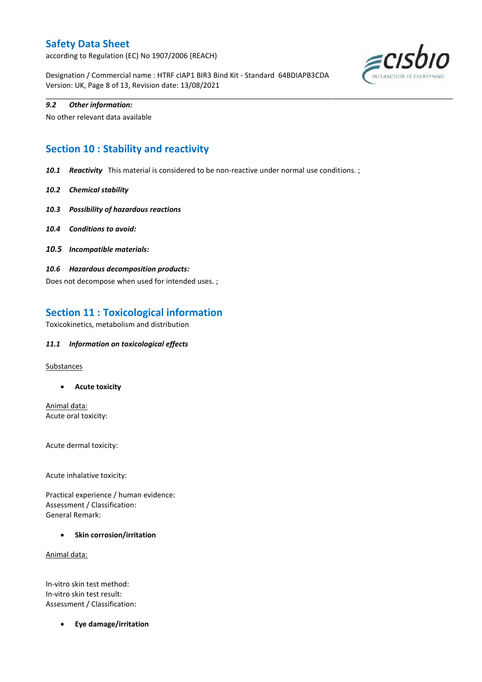according to Regulation (EC) No 1907/2006 (REACH)

Designation / Commercial name : HTRF cIAP1 BIR3 Bind Kit - Standard 64BDIAPB3CDA Version: UK, Page 8 of 13, Revision date: 13/08/2021



#### *9.2 Other information:*

No other relevant data available

## **Section 10 : Stability and reactivity**

*10.1 Reactivity* This material is considered to be non-reactive under normal use conditions. ;

\_\_\_\_\_\_\_\_\_\_\_\_\_\_\_\_\_\_\_\_\_\_\_\_\_\_\_\_\_\_\_\_\_\_\_\_\_\_\_\_\_\_\_\_\_\_\_\_\_\_\_\_\_\_\_\_\_\_\_\_\_\_\_\_\_\_\_\_\_\_\_\_\_\_\_\_\_\_\_\_\_\_\_\_\_\_\_\_\_\_\_\_\_\_\_\_\_\_\_\_\_

- *10.2 Chemical stability*
- *10.3 Possibility of hazardous reactions*
- *10.4 Conditions to avoid:*
- *10.5 Incompatible materials:*
- *10.6 Hazardous decomposition products:*

Does not decompose when used for intended uses. ;

### **Section 11 : Toxicological information**

Toxicokinetics, metabolism and distribution

#### *11.1 Information on toxicological effects*

**Substances** 

**Acute toxicity**

Animal data: Acute oral toxicity:

Acute dermal toxicity:

Acute inhalative toxicity:

Practical experience / human evidence: Assessment / Classification: General Remark:

**•** Skin corrosion/irritation

Animal data:

In-vitro skin test method: In-vitro skin test result: Assessment / Classification:

**Eye damage/irritation**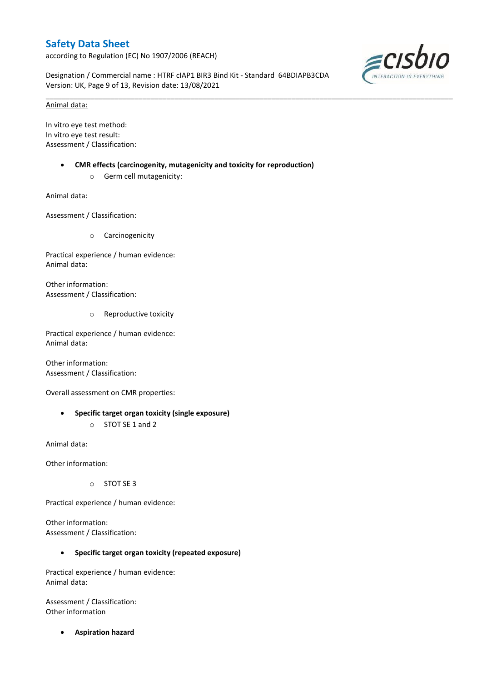according to Regulation (EC) No 1907/2006 (REACH)

Designation / Commercial name : HTRF cIAP1 BIR3 Bind Kit - Standard 64BDIAPB3CDA Version: UK, Page 9 of 13, Revision date: 13/08/2021

\_\_\_\_\_\_\_\_\_\_\_\_\_\_\_\_\_\_\_\_\_\_\_\_\_\_\_\_\_\_\_\_\_\_\_\_\_\_\_\_\_\_\_\_\_\_\_\_\_\_\_\_\_\_\_\_\_\_\_\_\_\_\_\_\_\_\_\_\_\_\_\_\_\_\_\_\_\_\_\_\_\_\_\_\_\_\_\_\_\_\_\_\_\_\_\_\_\_\_\_\_



#### Animal data:

In vitro eye test method: In vitro eye test result: Assessment / Classification:

- **CMR effects (carcinogenity, mutagenicity and toxicity for reproduction)**
	- o Germ cell mutagenicity:

Animal data:

Assessment / Classification:

o Carcinogenicity

Practical experience / human evidence: Animal data:

Other information: Assessment / Classification:

o Reproductive toxicity

Practical experience / human evidence: Animal data:

Other information: Assessment / Classification:

Overall assessment on CMR properties:

 **Specific target organ toxicity (single exposure)** o STOT SE 1 and 2

Animal data:

Other information:

o STOT SE 3

Practical experience / human evidence:

Other information: Assessment / Classification:

#### **Specific target organ toxicity (repeated exposure)**

Practical experience / human evidence: Animal data:

Assessment / Classification: Other information

**Aspiration hazard**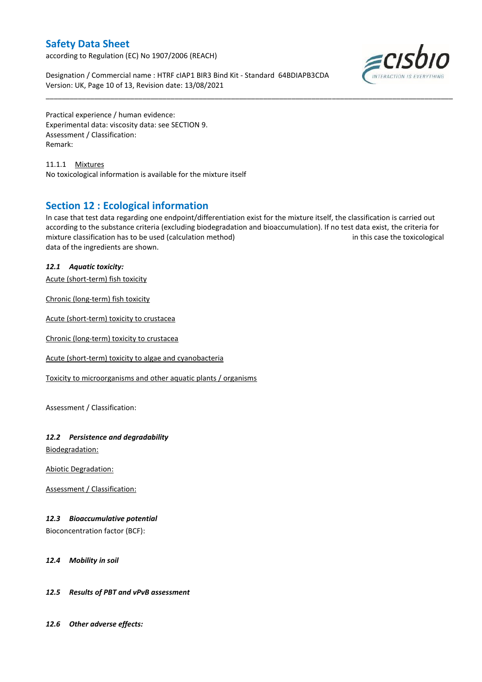according to Regulation (EC) No 1907/2006 (REACH)

Designation / Commercial name : HTRF cIAP1 BIR3 Bind Kit - Standard 64BDIAPB3CDA Version: UK, Page 10 of 13, Revision date: 13/08/2021



Practical experience / human evidence: Experimental data: viscosity data: see SECTION 9. Assessment / Classification: Remark:

11.1.1 Mixtures No toxicological information is available for the mixture itself

## **Section 12 : Ecological information**

In case that test data regarding one endpoint/differentiation exist for the mixture itself, the classification is carried out according to the substance criteria (excluding biodegradation and bioaccumulation). If no test data exist, the criteria for mixture classification has to be used (calculation method) in this case the toxicological data of the ingredients are shown.

\_\_\_\_\_\_\_\_\_\_\_\_\_\_\_\_\_\_\_\_\_\_\_\_\_\_\_\_\_\_\_\_\_\_\_\_\_\_\_\_\_\_\_\_\_\_\_\_\_\_\_\_\_\_\_\_\_\_\_\_\_\_\_\_\_\_\_\_\_\_\_\_\_\_\_\_\_\_\_\_\_\_\_\_\_\_\_\_\_\_\_\_\_\_\_\_\_\_\_\_\_

#### *12.1 Aquatic toxicity:*

Acute (short-term) fish toxicity

Chronic (long-term) fish toxicity

Acute (short-term) toxicity to crustacea

Chronic (long-term) toxicity to crustacea

Acute (short-term) toxicity to algae and cyanobacteria

Toxicity to microorganisms and other aquatic plants / organisms

Assessment / Classification:

#### *12.2 Persistence and degradability*

Biodegradation:

Abiotic Degradation:

Assessment / Classification:

#### *12.3 Bioaccumulative potential*

Bioconcentration factor (BCF):

#### *12.4 Mobility in soil*

#### *12.5 Results of PBT and vPvB assessment*

*12.6 Other adverse effects:*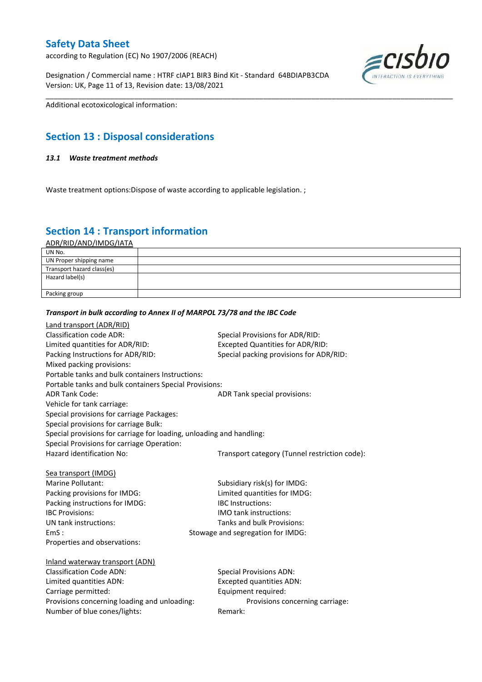according to Regulation (EC) No 1907/2006 (REACH)

Designation / Commercial name : HTRF cIAP1 BIR3 Bind Kit - Standard 64BDIAPB3CDA Version: UK, Page 11 of 13, Revision date: 13/08/2021



Additional ecotoxicological information:

## **Section 13 : Disposal considerations**

#### *13.1 Waste treatment methods*

Waste treatment options: Dispose of waste according to applicable legislation.;

## **Section 14 : Transport information**

ADR/RID/AND/IMDG/IATA

| UN No.                     |  |
|----------------------------|--|
| UN Proper shipping name    |  |
| Transport hazard class(es) |  |
| Hazard label(s)            |  |
|                            |  |
| Packing group              |  |

\_\_\_\_\_\_\_\_\_\_\_\_\_\_\_\_\_\_\_\_\_\_\_\_\_\_\_\_\_\_\_\_\_\_\_\_\_\_\_\_\_\_\_\_\_\_\_\_\_\_\_\_\_\_\_\_\_\_\_\_\_\_\_\_\_\_\_\_\_\_\_\_\_\_\_\_\_\_\_\_\_\_\_\_\_\_\_\_\_\_\_\_\_\_\_\_\_\_\_\_\_

#### *Transport in bulk according to Annex II of MARPOL 73/78 and the IBC Code*

| Land transport (ADR/RID)                                             |                                               |
|----------------------------------------------------------------------|-----------------------------------------------|
| Classification code ADR:                                             | Special Provisions for ADR/RID:               |
| Limited quantities for ADR/RID:                                      | <b>Excepted Quantities for ADR/RID:</b>       |
| Packing Instructions for ADR/RID:                                    | Special packing provisions for ADR/RID:       |
| Mixed packing provisions:                                            |                                               |
| Portable tanks and bulk containers Instructions:                     |                                               |
| Portable tanks and bulk containers Special Provisions:               |                                               |
| <b>ADR Tank Code:</b>                                                | ADR Tank special provisions:                  |
| Vehicle for tank carriage:                                           |                                               |
| Special provisions for carriage Packages:                            |                                               |
| Special provisions for carriage Bulk:                                |                                               |
| Special provisions for carriage for loading, unloading and handling: |                                               |
| Special Provisions for carriage Operation:                           |                                               |
| Hazard identification No:                                            | Transport category (Tunnel restriction code): |
|                                                                      |                                               |
| Sea transport (IMDG)                                                 |                                               |
| Marine Pollutant:                                                    | Subsidiary risk(s) for IMDG:                  |
| Packing provisions for IMDG:                                         | Limited quantities for IMDG:                  |
| Packing instructions for IMDG:                                       | <b>IBC</b> Instructions:                      |
| <b>IBC Provisions:</b>                                               | <b>IMO</b> tank instructions:                 |
| UN tank instructions:                                                | Tanks and bulk Provisions:                    |
| EmS:                                                                 | Stowage and segregation for IMDG:             |
| Properties and observations:                                         |                                               |
|                                                                      |                                               |
| Inland waterway transport (ADN)                                      |                                               |
| <b>Classification Code ADN:</b>                                      | <b>Special Provisions ADN:</b>                |
| Limited quantities ADN:                                              | <b>Excepted quantities ADN:</b>               |
| Carriage permitted:                                                  | Equipment required:                           |
| Provisions concerning loading and unloading:                         | Provisions concerning carriage:               |
| Number of blue cones/lights:                                         | Remark:                                       |
|                                                                      |                                               |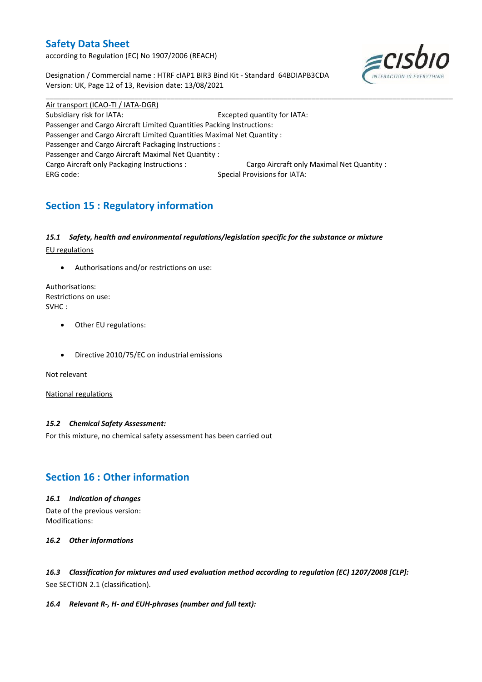according to Regulation (EC) No 1907/2006 (REACH)

Designation / Commercial name : HTRF cIAP1 BIR3 Bind Kit - Standard 64BDIAPB3CDA Version: UK, Page 12 of 13, Revision date: 13/08/2021



Air transport (ICAO-TI / IATA-DGR) Subsidiary risk for IATA: Excepted quantity for IATA: Passenger and Cargo Aircraft Limited Quantities Packing Instructions: Passenger and Cargo Aircraft Limited Quantities Maximal Net Quantity : Passenger and Cargo Aircraft Packaging Instructions : Passenger and Cargo Aircraft Maximal Net Quantity : Cargo Aircraft only Packaging Instructions : Cargo Aircraft only Maximal Net Quantity : ERG code: Special Provisions for IATA:

\_\_\_\_\_\_\_\_\_\_\_\_\_\_\_\_\_\_\_\_\_\_\_\_\_\_\_\_\_\_\_\_\_\_\_\_\_\_\_\_\_\_\_\_\_\_\_\_\_\_\_\_\_\_\_\_\_\_\_\_\_\_\_\_\_\_\_\_\_\_\_\_\_\_\_\_\_\_\_\_\_\_\_\_\_\_\_\_\_\_\_\_\_\_\_\_\_\_\_\_\_

## **Section 15 : Regulatory information**

#### *15.1 Safety, health and environmental regulations/legislation specific for the substance or mixture*

EU regulations

Authorisations and/or restrictions on use:

Authorisations: Restrictions on use: SVHC :

- Other EU regulations:
- Directive 2010/75/EC on industrial emissions

Not relevant

National regulations

#### *15.2 Chemical Safety Assessment:*

For this mixture, no chemical safety assessment has been carried out

## **Section 16 : Other information**

*16.1 Indication of changes*

Date of the previous version: Modifications:

*16.2 Other informations*

*16.3 Classification for mixtures and used evaluation method according to regulation (EC) 1207/2008 [CLP]:* See SECTION 2.1 (classification).

*16.4 Relevant R-, H- and EUH-phrases (number and full text):*